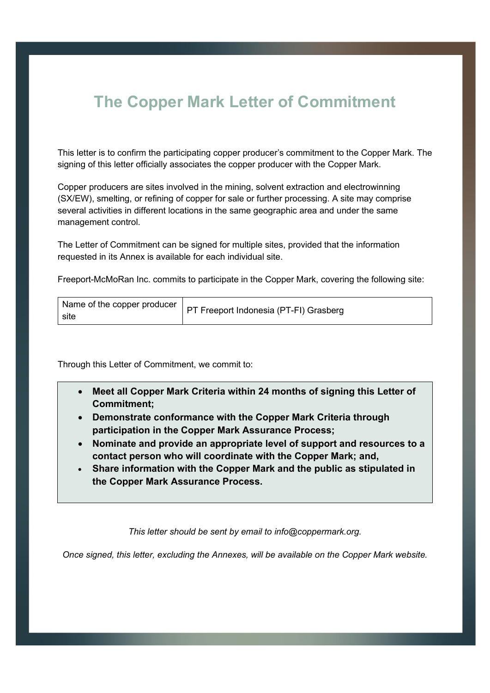## **The Copper Mark Letter of Commitment**

This letter is to confirm the participating copper producer's commitment to the Copper Mark. The signing of this letter officially associates the copper producer with the Copper Mark.

Copper producers are sites involved in the mining, solvent extraction and electrowinning (SX/EW), smelting, or refining of copper for sale or further processing. A site may comprise several activities in different locations in the same geographic area and under the same management control.

The Letter of Commitment can be signed for multiple sites, provided that the information requested in its Annex is available for each individual site.

Freeport-McMoRan Inc. commits to participate in the Copper Mark, covering the following site:

Through this Letter of Commitment, we commit to:

- **Meet all Copper Mark Criteria within 24 months of signing this Letter of Commitment;**
- **Demonstrate conformance with the Copper Mark Criteria through participation in the Copper Mark Assurance Process;**
- **Nominate and provide an appropriate level of support and resources to a contact person who will coordinate with the Copper Mark; and,**
- **Share information with the Copper Mark and the public as stipulated in the Copper Mark Assurance Process.**

*This letter should be sent by email to info@coppermark.org.* 

*Once signed, this letter, excluding the Annexes, will be available on the Copper Mark website.*